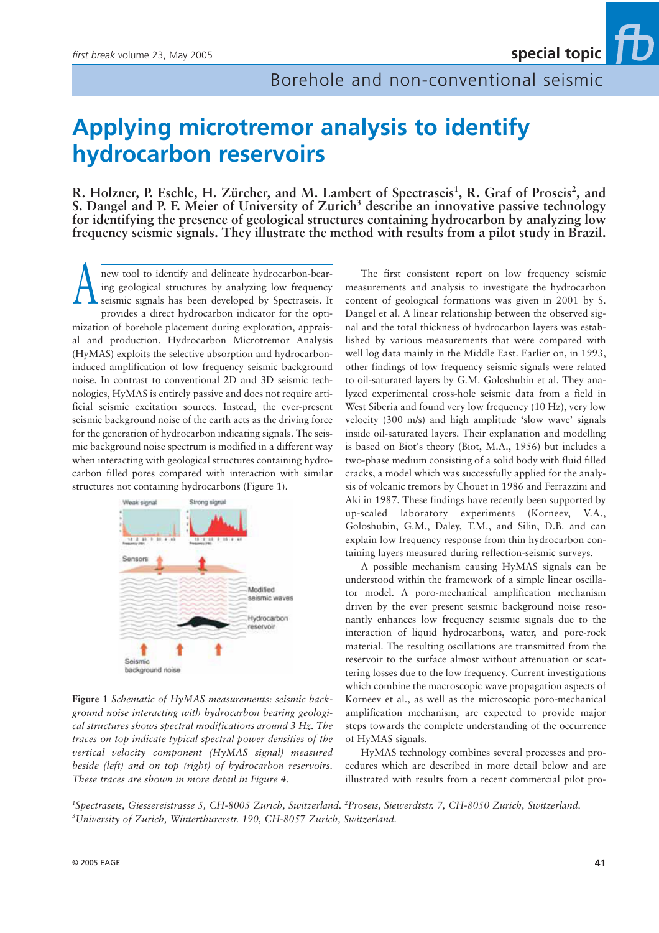ΪD

# **Applying microtremor analysis to identify hydrocarbon reservoirs**

R. Holzner, P. Eschle, H. Zürcher, and M. Lambert of Spectraseis<sup>1</sup>, R. Graf of Proseis<sup>2</sup>, and **S. Dangel and P. F. Meier of University of Zurich3 describe an innovative passive technology for identifying the presence of geological structures containing hydrocarbon by analyzing low frequency seismic signals. They illustrate the method with results from a pilot study in Brazil.**

new tool to identify and delineate hydrocarbon-bearing geological structures by analyzing low frequency seismic signals has been developed by Spectraseis. It provides a direct hydrocarbon indicator for the optimization of borehole placement during exploration, appraisal and production. Hydrocarbon Microtremor Analysis (HyMAS) exploits the selective absorption and hydrocarboninduced amplification of low frequency seismic background noise. In contrast to conventional 2D and 3D seismic technologies, HyMAS is entirely passive and does not require artificial seismic excitation sources. Instead, the ever-present seismic background noise of the earth acts as the driving force for the generation of hydrocarbon indicating signals. The seismic background noise spectrum is modified in a different way when interacting with geological structures containing hydrocarbon filled pores compared with interaction with similar structures not containing hydrocarbons (Figure 1). A



**Figure 1** *Schematic of HyMAS measurements: seismic background noise interacting with hydrocarbon bearing geological structures shows spectral modifications around 3 Hz. The traces on top indicate typical spectral power densities of the vertical velocity component (HyMAS signal) measured beside (left) and on top (right) of hydrocarbon reservoirs. These traces are shown in more detail in Figure 4.*

The first consistent report on low frequency seismic measurements and analysis to investigate the hydrocarbon content of geological formations was given in 2001 by S. Dangel et al. A linear relationship between the observed signal and the total thickness of hydrocarbon layers was established by various measurements that were compared with well log data mainly in the Middle East. Earlier on, in 1993, other findings of low frequency seismic signals were related to oil-saturated layers by G.M. Goloshubin et al. They analyzed experimental cross-hole seismic data from a field in West Siberia and found very low frequency (10 Hz), very low velocity (300 m/s) and high amplitude 'slow wave' signals inside oil-saturated layers. Their explanation and modelling is based on Biot's theory (Biot, M.A., 1956) but includes a two-phase medium consisting of a solid body with fluid filled cracks, a model which was successfully applied for the analysis of volcanic tremors by Chouet in 1986 and Ferrazzini and Aki in 1987. These findings have recently been supported by up-scaled laboratory experiments (Korneev, V.A., Goloshubin, G.M., Daley, T.M., and Silin, D.B. and can explain low frequency response from thin hydrocarbon containing layers measured during reflection-seismic surveys.

A possible mechanism causing HyMAS signals can be understood within the framework of a simple linear oscillator model. A poro-mechanical amplification mechanism driven by the ever present seismic background noise resonantly enhances low frequency seismic signals due to the interaction of liquid hydrocarbons, water, and pore-rock material. The resulting oscillations are transmitted from the reservoir to the surface almost without attenuation or scattering losses due to the low frequency. Current investigations which combine the macroscopic wave propagation aspects of Korneev et al., as well as the microscopic poro-mechanical amplification mechanism, are expected to provide major steps towards the complete understanding of the occurrence of HyMAS signals.

HyMAS technology combines several processes and procedures which are described in more detail below and are illustrated with results from a recent commercial pilot pro-

*1 Spectraseis, Giessereistrasse 5, CH-8005 Zurich, Switzerland. 2 Proseis, Siewerdtstr. 7, CH-8050 Zurich, Switzerland. 3 University of Zurich, Winterthurerstr. 190, CH-8057 Zurich, Switzerland.*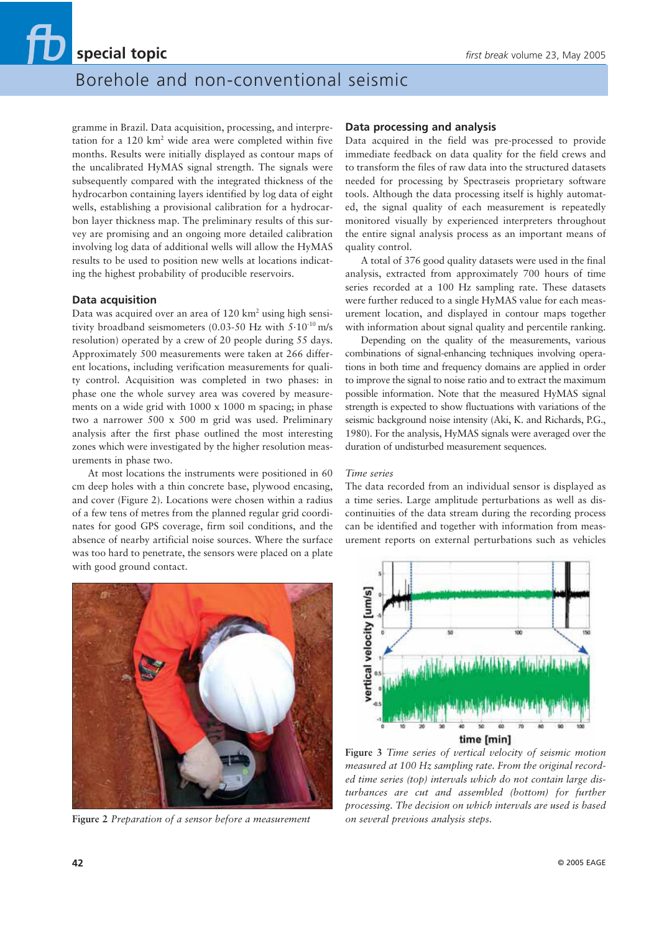### Borehole and non-conventional seismic

gramme in Brazil. Data acquisition, processing, and interpretation for a  $120 \text{ km}^2$  wide area were completed within five months. Results were initially displayed as contour maps of the uncalibrated HyMAS signal strength. The signals were subsequently compared with the integrated thickness of the hydrocarbon containing layers identified by log data of eight wells, establishing a provisional calibration for a hydrocarbon layer thickness map. The preliminary results of this survey are promising and an ongoing more detailed calibration involving log data of additional wells will allow the HyMAS results to be used to position new wells at locations indicating the highest probability of producible reservoirs.

### **Data acquisition**

Data was acquired over an area of  $120 \text{ km}^2$  using high sensitivity broadband seismometers (0.03-50 Hz with  $5.10^{10}$  m/s resolution) operated by a crew of 20 people during 55 days. Approximately 500 measurements were taken at 266 different locations, including verification measurements for quality control. Acquisition was completed in two phases: in phase one the whole survey area was covered by measurements on a wide grid with 1000 x 1000 m spacing; in phase two a narrower 500 x 500 m grid was used. Preliminary analysis after the first phase outlined the most interesting zones which were investigated by the higher resolution measurements in phase two.

At most locations the instruments were positioned in 60 cm deep holes with a thin concrete base, plywood encasing, and cover (Figure 2). Locations were chosen within a radius of a few tens of metres from the planned regular grid coordinates for good GPS coverage, firm soil conditions, and the absence of nearby artificial noise sources. Where the surface was too hard to penetrate, the sensors were placed on a plate with good ground contact.



**Figure 2** *Preparation of a sensor before a measurement*

### **Data processing and analysis**

Data acquired in the field was pre-processed to provide immediate feedback on data quality for the field crews and to transform the files of raw data into the structured datasets needed for processing by Spectraseis proprietary software tools. Although the data processing itself is highly automated, the signal quality of each measurement is repeatedly monitored visually by experienced interpreters throughout the entire signal analysis process as an important means of quality control.

A total of 376 good quality datasets were used in the final analysis, extracted from approximately 700 hours of time series recorded at a 100 Hz sampling rate. These datasets were further reduced to a single HyMAS value for each measurement location, and displayed in contour maps together with information about signal quality and percentile ranking.

Depending on the quality of the measurements, various combinations of signal-enhancing techniques involving operations in both time and frequency domains are applied in order to improve the signal to noise ratio and to extract the maximum possible information. Note that the measured HyMAS signal strength is expected to show fluctuations with variations of the seismic background noise intensity (Aki, K. and Richards, P.G., 1980). For the analysis, HyMAS signals were averaged over the duration of undisturbed measurement sequences.

#### *Time series*

The data recorded from an individual sensor is displayed as a time series. Large amplitude perturbations as well as discontinuities of the data stream during the recording process can be identified and together with information from measurement reports on external perturbations such as vehicles



**Figure 3** *Time series of vertical velocity of seismic motion measured at 100 Hz sampling rate. From the original recorded time series (top) intervals which do not contain large disturbances are cut and assembled (bottom) for further processing. The decision on which intervals are used is based on several previous analysis steps.*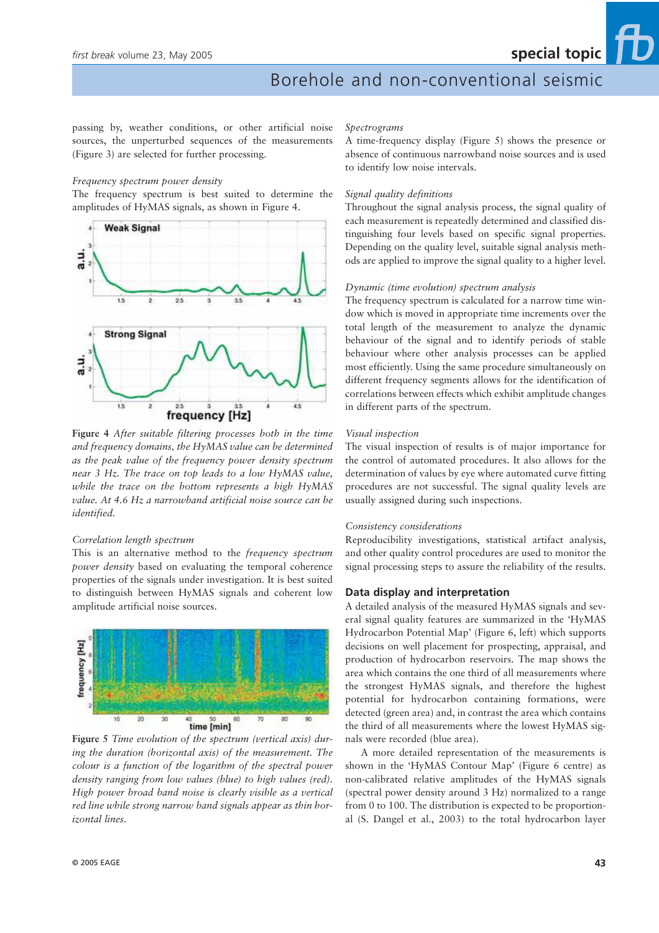### Borehole and non-conventional seismic

passing by, weather conditions, or other artificial noise sources, the unperturbed sequences of the measurements (Figure 3) are selected for further processing.

### *Frequency spectrum power density*

The frequency spectrum is best suited to determine the amplitudes of HyMAS signals, as shown in Figure 4.



**Figure 4** *After suitable filtering processes both in the time and frequency domains, the HyMAS value can be determined as the peak value of the frequency power density spectrum near 3 Hz. The trace on top leads to a low HyMAS value, while the trace on the bottom represents a high HyMAS value. At 4.6 Hz a narrowband artificial noise source can be identified.*

### *Correlation length spectrum*

This is an alternative method to the *frequency spectrum power density* based on evaluating the temporal coherence properties of the signals under investigation. It is best suited to distinguish between HyMAS signals and coherent low amplitude artificial noise sources.



**Figure 5** *Time evolution of the spectrum (vertical axis) during the duration (horizontal axis) of the measurement. The colour is a function of the logarithm of the spectral power density ranging from low values (blue) to high values (red). High power broad band noise is clearly visible as a vertical red line while strong narrow band signals appear as thin horizontal lines.*

### *Spectrograms*

A time-frequency display (Figure 5) shows the presence or absence of continuous narrowband noise sources and is used to identify low noise intervals.

#### *Signal quality definitions*

Throughout the signal analysis process, the signal quality of each measurement is repeatedly determined and classified distinguishing four levels based on specific signal properties. Depending on the quality level, suitable signal analysis methods are applied to improve the signal quality to a higher level.

### *Dynamic (time evolution) spectrum analysis*

The frequency spectrum is calculated for a narrow time window which is moved in appropriate time increments over the total length of the measurement to analyze the dynamic behaviour of the signal and to identify periods of stable behaviour where other analysis processes can be applied most efficiently. Using the same procedure simultaneously on different frequency segments allows for the identification of correlations between effects which exhibit amplitude changes in different parts of the spectrum.

#### *Visual inspection*

The visual inspection of results is of major importance for the control of automated procedures. It also allows for the determination of values by eye where automated curve fitting procedures are not successful. The signal quality levels are usually assigned during such inspections.

#### *Consistency considerations*

Reproducibility investigations, statistical artifact analysis, and other quality control procedures are used to monitor the signal processing steps to assure the reliability of the results.

### **Data display and interpretation**

A detailed analysis of the measured HyMAS signals and several signal quality features are summarized in the 'HyMAS Hydrocarbon Potential Map' (Figure 6, left) which supports decisions on well placement for prospecting, appraisal, and production of hydrocarbon reservoirs. The map shows the area which contains the one third of all measurements where the strongest HyMAS signals, and therefore the highest potential for hydrocarbon containing formations, were detected (green area) and, in contrast the area which contains the third of all measurements where the lowest HyMAS signals were recorded (blue area).

A more detailed representation of the measurements is shown in the 'HyMAS Contour Map' (Figure 6 centre) as non-calibrated relative amplitudes of the HyMAS signals (spectral power density around 3 Hz) normalized to a range from 0 to 100. The distribution is expected to be proportional (S. Dangel et al., 2003) to the total hydrocarbon layer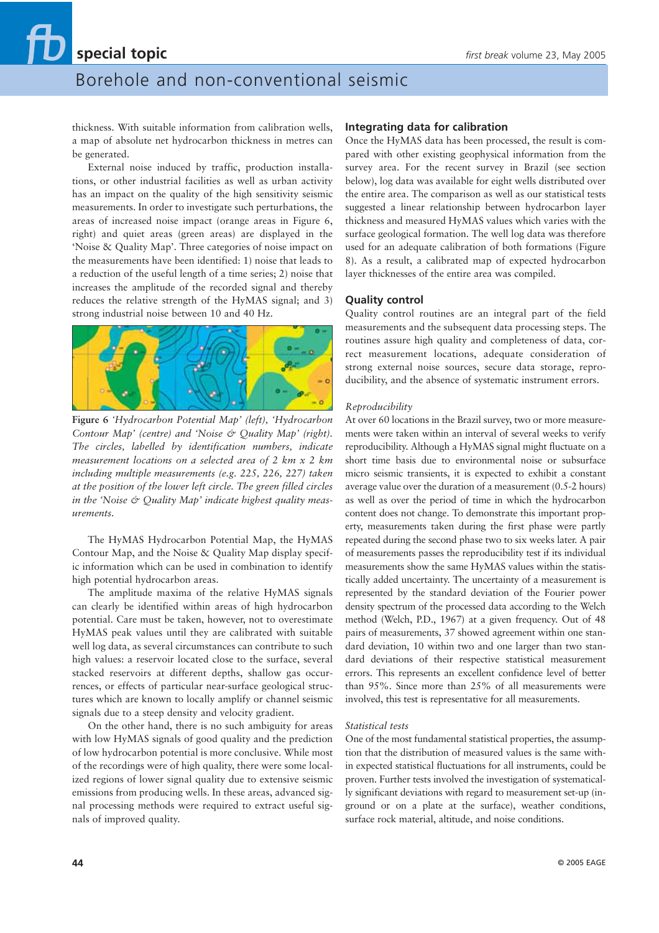### Borehole and non-conventional seismic

thickness. With suitable information from calibration wells, a map of absolute net hydrocarbon thickness in metres can be generated.

External noise induced by traffic, production installations, or other industrial facilities as well as urban activity has an impact on the quality of the high sensitivity seismic measurements. In order to investigate such perturbations, the areas of increased noise impact (orange areas in Figure 6, right) and quiet areas (green areas) are displayed in the 'Noise & Quality Map'. Three categories of noise impact on the measurements have been identified: 1) noise that leads to a reduction of the useful length of a time series; 2) noise that increases the amplitude of the recorded signal and thereby reduces the relative strength of the HyMAS signal; and 3) strong industrial noise between 10 and 40 Hz.



**Figure 6** *'Hydrocarbon Potential Map' (left), 'Hydrocarbon Contour Map' (centre) and 'Noise & Quality Map' (right). The circles, labelled by identification numbers, indicate measurement locations on a selected area of 2 km x 2 km including multiple measurements (e.g. 225, 226, 227) taken at the position of the lower left circle. The green filled circles in the 'Noise & Quality Map' indicate highest quality measurements.*

The HyMAS Hydrocarbon Potential Map, the HyMAS Contour Map, and the Noise & Quality Map display specific information which can be used in combination to identify high potential hydrocarbon areas.

The amplitude maxima of the relative HyMAS signals can clearly be identified within areas of high hydrocarbon potential. Care must be taken, however, not to overestimate HyMAS peak values until they are calibrated with suitable well log data, as several circumstances can contribute to such high values: a reservoir located close to the surface, several stacked reservoirs at different depths, shallow gas occurrences, or effects of particular near-surface geological structures which are known to locally amplify or channel seismic signals due to a steep density and velocity gradient.

On the other hand, there is no such ambiguity for areas with low HyMAS signals of good quality and the prediction of low hydrocarbon potential is more conclusive. While most of the recordings were of high quality, there were some localized regions of lower signal quality due to extensive seismic emissions from producing wells. In these areas, advanced signal processing methods were required to extract useful signals of improved quality.

### **Integrating data for calibration**

Once the HyMAS data has been processed, the result is compared with other existing geophysical information from the survey area. For the recent survey in Brazil (see section below), log data was available for eight wells distributed over the entire area. The comparison as well as our statistical tests suggested a linear relationship between hydrocarbon layer thickness and measured HyMAS values which varies with the surface geological formation. The well log data was therefore used for an adequate calibration of both formations (Figure 8). As a result, a calibrated map of expected hydrocarbon layer thicknesses of the entire area was compiled.

### **Quality control**

Quality control routines are an integral part of the field measurements and the subsequent data processing steps. The routines assure high quality and completeness of data, correct measurement locations, adequate consideration of strong external noise sources, secure data storage, reproducibility, and the absence of systematic instrument errors.

### *Reproducibility*

At over 60 locations in the Brazil survey, two or more measurements were taken within an interval of several weeks to verify reproducibility. Although a HyMAS signal might fluctuate on a short time basis due to environmental noise or subsurface micro seismic transients, it is expected to exhibit a constant average value over the duration of a measurement (0.5-2 hours) as well as over the period of time in which the hydrocarbon content does not change. To demonstrate this important property, measurements taken during the first phase were partly repeated during the second phase two to six weeks later. A pair of measurements passes the reproducibility test if its individual measurements show the same HyMAS values within the statistically added uncertainty. The uncertainty of a measurement is represented by the standard deviation of the Fourier power density spectrum of the processed data according to the Welch method (Welch, P.D., 1967) at a given frequency. Out of 48 pairs of measurements, 37 showed agreement within one standard deviation, 10 within two and one larger than two standard deviations of their respective statistical measurement errors. This represents an excellent confidence level of better than 95%. Since more than 25% of all measurements were involved, this test is representative for all measurements.

### *Statistical tests*

One of the most fundamental statistical properties, the assumption that the distribution of measured values is the same within expected statistical fluctuations for all instruments, could be proven. Further tests involved the investigation of systematically significant deviations with regard to measurement set-up (inground or on a plate at the surface), weather conditions, surface rock material, altitude, and noise conditions.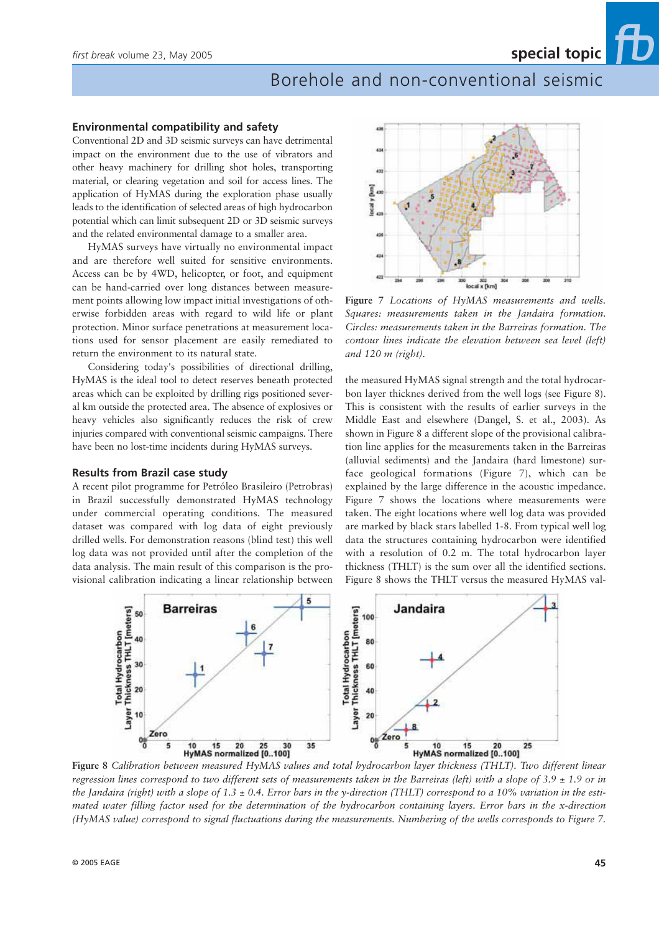### Borehole and non-conventional seismic

### **Environmental compatibility and safety**

Conventional 2D and 3D seismic surveys can have detrimental impact on the environment due to the use of vibrators and other heavy machinery for drilling shot holes, transporting material, or clearing vegetation and soil for access lines. The application of HyMAS during the exploration phase usually leads to the identification of selected areas of high hydrocarbon potential which can limit subsequent 2D or 3D seismic surveys and the related environmental damage to a smaller area.

HyMAS surveys have virtually no environmental impact and are therefore well suited for sensitive environments. Access can be by 4WD, helicopter, or foot, and equipment can be hand-carried over long distances between measurement points allowing low impact initial investigations of otherwise forbidden areas with regard to wild life or plant protection. Minor surface penetrations at measurement locations used for sensor placement are easily remediated to return the environment to its natural state.

Considering today's possibilities of directional drilling, HyMAS is the ideal tool to detect reserves beneath protected areas which can be exploited by drilling rigs positioned several km outside the protected area. The absence of explosives or heavy vehicles also significantly reduces the risk of crew injuries compared with conventional seismic campaigns. There have been no lost-time incidents during HyMAS surveys.

### **Results from Brazil case study**

A recent pilot programme for Petróleo Brasileiro (Petrobras) in Brazil successfully demonstrated HyMAS technology under commercial operating conditions. The measured dataset was compared with log data of eight previously drilled wells. For demonstration reasons (blind test) this well log data was not provided until after the completion of the data analysis. The main result of this comparison is the provisional calibration indicating a linear relationship between



**Figure 7** *Locations of HyMAS measurements and wells. Squares: measurements taken in the Jandaira formation. Circles: measurements taken in the Barreiras formation. The contour lines indicate the elevation between sea level (left) and 120 m (right).*

the measured HyMAS signal strength and the total hydrocarbon layer thicknes derived from the well logs (see Figure 8). This is consistent with the results of earlier surveys in the Middle East and elsewhere (Dangel, S. et al., 2003). As shown in Figure 8 a different slope of the provisional calibration line applies for the measurements taken in the Barreiras (alluvial sediments) and the Jandaira (hard limestone) surface geological formations (Figure 7), which can be explained by the large difference in the acoustic impedance. Figure 7 shows the locations where measurements were taken. The eight locations where well log data was provided are marked by black stars labelled 1-8. From typical well log data the structures containing hydrocarbon were identified with a resolution of 0.2 m. The total hydrocarbon layer thickness (THLT) is the sum over all the identified sections. Figure 8 shows the THLT versus the measured HyMAS val-



**Figure 8** *Calibration between measured HyMAS values and total hydrocarbon layer thickness (THLT). Two different linear regression lines correspond to two different sets of measurements taken in the Barreiras (left) with a slope of 3.9 ± 1.9 or in the Jandaira (right) with a slope of 1.3 ± 0.4. Error bars in the y-direction (THLT) correspond to a 10% variation in the estimated water filling factor used for the determination of the hydrocarbon containing layers. Error bars in the x-direction (HyMAS value) correspond to signal fluctuations during the measurements. Numbering of the wells corresponds to Figure 7.*